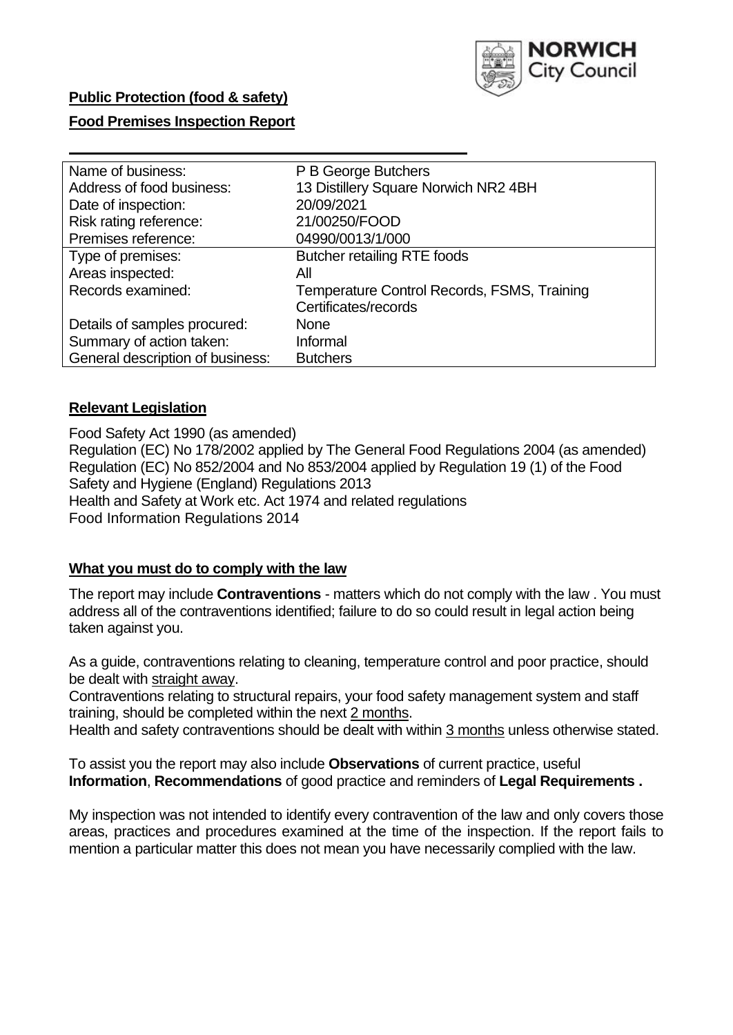

### **Public Protection (food & safety)**

## **Food Premises Inspection Report**

| Name of business:                | P B George Butchers                         |
|----------------------------------|---------------------------------------------|
| Address of food business:        | 13 Distillery Square Norwich NR2 4BH        |
| Date of inspection:              | 20/09/2021                                  |
| Risk rating reference:           | 21/00250/FOOD                               |
| Premises reference:              | 04990/0013/1/000                            |
| Type of premises:                | <b>Butcher retailing RTE foods</b>          |
| Areas inspected:                 | All                                         |
| Records examined:                | Temperature Control Records, FSMS, Training |
|                                  | Certificates/records                        |
| Details of samples procured:     | <b>None</b>                                 |
| Summary of action taken:         | Informal                                    |
| General description of business: | <b>Butchers</b>                             |

### **Relevant Legislation**

Food Safety Act 1990 (as amended) Regulation (EC) No 178/2002 applied by The General Food Regulations 2004 (as amended) Regulation (EC) No 852/2004 and No 853/2004 applied by Regulation 19 (1) of the Food Safety and Hygiene (England) Regulations 2013 Health and Safety at Work etc. Act 1974 and related regulations Food Information Regulations 2014

### **What you must do to comply with the law**

The report may include **Contraventions** - matters which do not comply with the law . You must address all of the contraventions identified; failure to do so could result in legal action being taken against you.

As a guide, contraventions relating to cleaning, temperature control and poor practice, should be dealt with straight away.

Contraventions relating to structural repairs, your food safety management system and staff training, should be completed within the next 2 months.

Health and safety contraventions should be dealt with within 3 months unless otherwise stated.

To assist you the report may also include **Observations** of current practice, useful **Information**, **Recommendations** of good practice and reminders of **Legal Requirements .**

My inspection was not intended to identify every contravention of the law and only covers those areas, practices and procedures examined at the time of the inspection. If the report fails to mention a particular matter this does not mean you have necessarily complied with the law.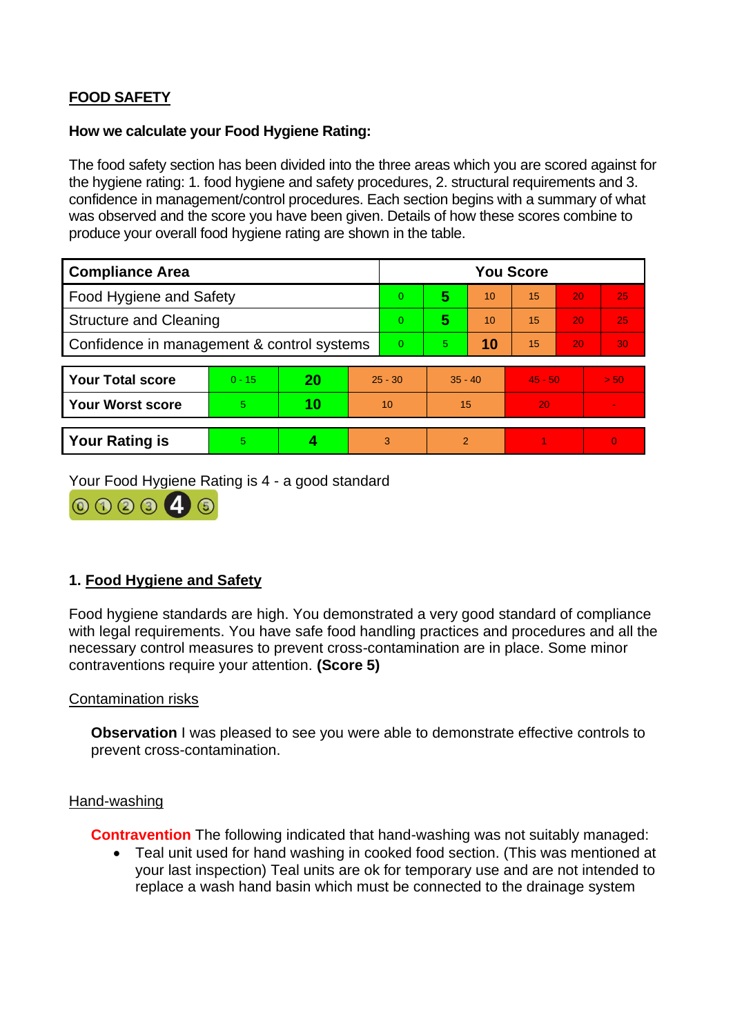# **FOOD SAFETY**

### **How we calculate your Food Hygiene Rating:**

The food safety section has been divided into the three areas which you are scored against for the hygiene rating: 1. food hygiene and safety procedures, 2. structural requirements and 3. confidence in management/control procedures. Each section begins with a summary of what was observed and the score you have been given. Details of how these scores combine to produce your overall food hygiene rating are shown in the table.

| <b>Compliance Area</b>                     |          |    |           | <b>You Score</b> |                |    |           |    |                |  |  |
|--------------------------------------------|----------|----|-----------|------------------|----------------|----|-----------|----|----------------|--|--|
| Food Hygiene and Safety                    |          |    |           | $\overline{0}$   | 5              | 10 | 15        | 20 | 25             |  |  |
| <b>Structure and Cleaning</b>              |          |    |           | $\overline{0}$   | 5              | 10 | 15        | 20 | 25             |  |  |
| Confidence in management & control systems |          |    | $\Omega$  | 5                | 10             | 15 | 20        | 30 |                |  |  |
|                                            |          |    |           |                  |                |    |           |    |                |  |  |
| <b>Your Total score</b>                    | $0 - 15$ | 20 | $25 - 30$ |                  | $35 - 40$      |    | $45 - 50$ |    | > 50           |  |  |
| <b>Your Worst score</b>                    | 5.       | 10 | 10        |                  | 15             |    | 20        |    | $\blacksquare$ |  |  |
|                                            |          |    |           |                  |                |    |           |    |                |  |  |
| <b>Your Rating is</b>                      | 5        |    |           | 3                | $\overline{2}$ |    |           |    | $\Omega$       |  |  |

Your Food Hygiene Rating is 4 - a good standard



## **1. Food Hygiene and Safety**

Food hygiene standards are high. You demonstrated a very good standard of compliance with legal requirements. You have safe food handling practices and procedures and all the necessary control measures to prevent cross-contamination are in place. Some minor contraventions require your attention. **(Score 5)**

#### Contamination risks

**Observation** I was pleased to see you were able to demonstrate effective controls to prevent cross-contamination.

#### Hand-washing

**Contravention** The following indicated that hand-washing was not suitably managed:

• Teal unit used for hand washing in cooked food section. (This was mentioned at your last inspection) Teal units are ok for temporary use and are not intended to replace a wash hand basin which must be connected to the drainage system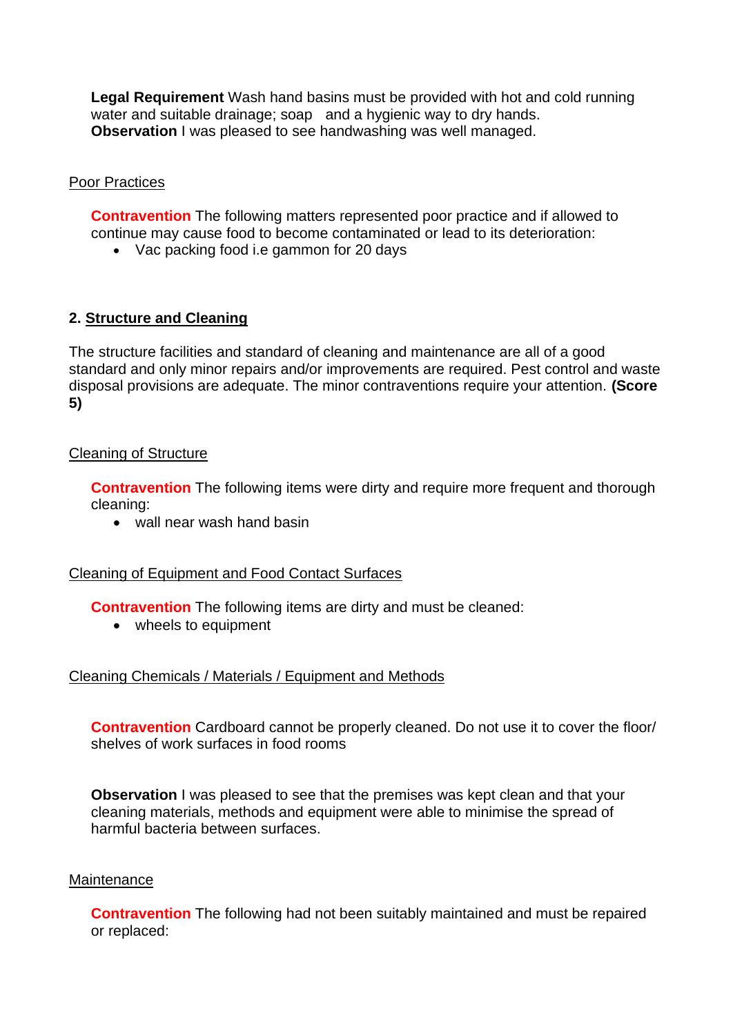**Legal Requirement** Wash hand basins must be provided with hot and cold running water and suitable drainage; soap and a hygienic way to dry hands. **Observation** I was pleased to see handwashing was well managed.

## Poor Practices

**Contravention** The following matters represented poor practice and if allowed to continue may cause food to become contaminated or lead to its deterioration:

• Vac packing food i.e gammon for 20 days

## **2. Structure and Cleaning**

The structure facilities and standard of cleaning and maintenance are all of a good standard and only minor repairs and/or improvements are required. Pest control and waste disposal provisions are adequate. The minor contraventions require your attention. **(Score 5)**

### Cleaning of Structure

**Contravention** The following items were dirty and require more frequent and thorough cleaning:

• wall near wash hand basin

### Cleaning of Equipment and Food Contact Surfaces

**Contravention** The following items are dirty and must be cleaned:

• wheels to equipment

## Cleaning Chemicals / Materials / Equipment and Methods

**Contravention** Cardboard cannot be properly cleaned. Do not use it to cover the floor/ shelves of work surfaces in food rooms

**Observation** I was pleased to see that the premises was kept clean and that your cleaning materials, methods and equipment were able to minimise the spread of harmful bacteria between surfaces.

### **Maintenance**

**Contravention** The following had not been suitably maintained and must be repaired or replaced: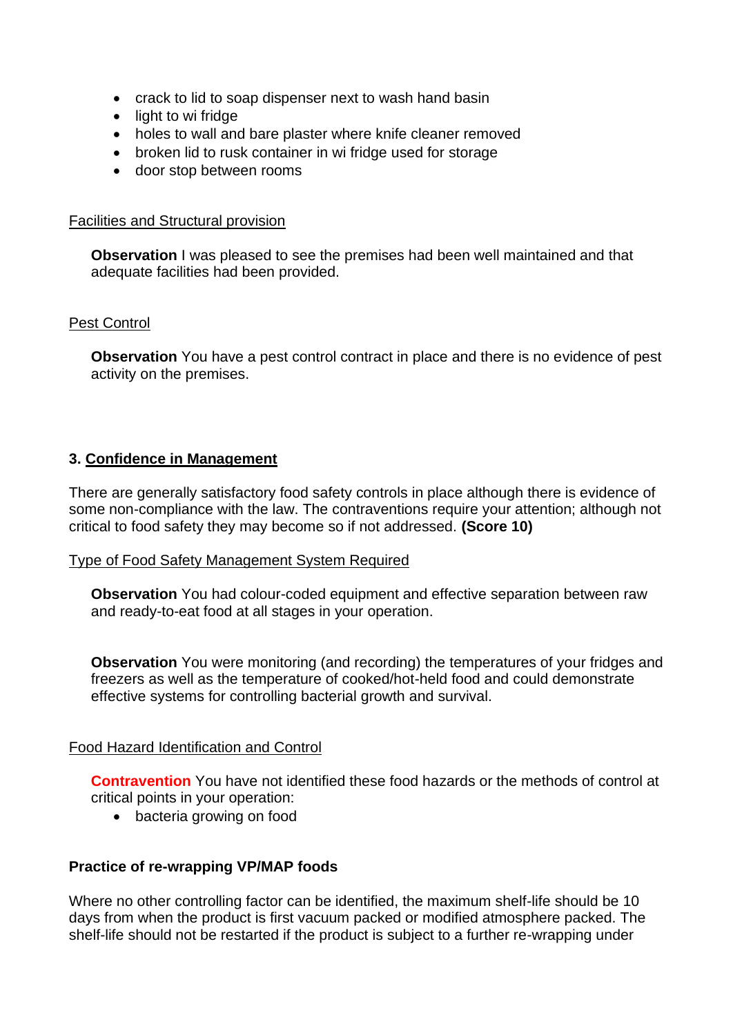- crack to lid to soap dispenser next to wash hand basin
- light to wi fridge
- holes to wall and bare plaster where knife cleaner removed
- broken lid to rusk container in wi fridge used for storage
- door stop between rooms

### Facilities and Structural provision

**Observation** I was pleased to see the premises had been well maintained and that adequate facilities had been provided.

### Pest Control

**Observation** You have a pest control contract in place and there is no evidence of pest activity on the premises.

### **3. Confidence in Management**

There are generally satisfactory food safety controls in place although there is evidence of some non-compliance with the law. The contraventions require your attention; although not critical to food safety they may become so if not addressed. **(Score 10)**

### Type of Food Safety Management System Required

**Observation** You had colour-coded equipment and effective separation between raw and ready-to-eat food at all stages in your operation.

**Observation** You were monitoring (and recording) the temperatures of your fridges and freezers as well as the temperature of cooked/hot-held food and could demonstrate effective systems for controlling bacterial growth and survival.

### Food Hazard Identification and Control

**Contravention** You have not identified these food hazards or the methods of control at critical points in your operation:

• bacteria growing on food

### **Practice of re-wrapping VP/MAP foods**

Where no other controlling factor can be identified, the maximum shelf-life should be 10 days from when the product is first vacuum packed or modified atmosphere packed. The shelf-life should not be restarted if the product is subject to a further re-wrapping under